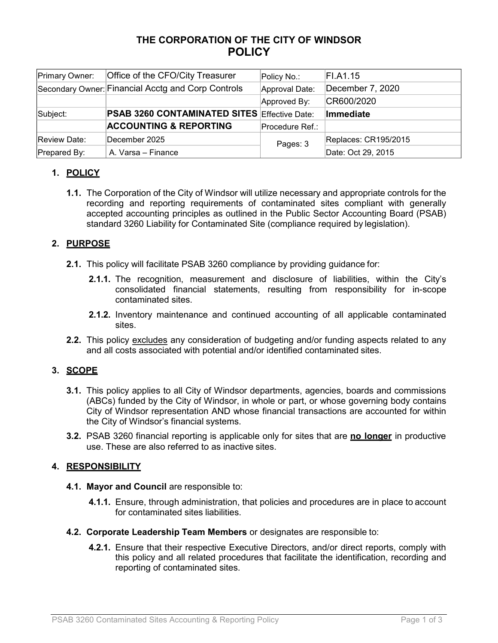# **THE CORPORATION OF THE CITY OF WINDSOR POLICY**

| Primary Owner: | Office of the CFO/City Treasurer                    | Policy No.:     | FI.A1.15             |
|----------------|-----------------------------------------------------|-----------------|----------------------|
|                | Secondary Owner: Financial Acctg and Corp Controls  | Approval Date:  | December 7, 2020     |
|                |                                                     | Approved By:    | CR600/2020           |
| Subject:       | <b>PSAB 3260 CONTAMINATED SITES Effective Date:</b> |                 | Immediate            |
|                | <b>ACCOUNTING &amp; REPORTING</b>                   | Procedure Ref.: |                      |
| Review Date:   | December 2025                                       | Pages: 3        | Replaces: CR195/2015 |
| Prepared By:   | A. Varsa - Finance                                  |                 | Date: Oct 29, 2015   |

# **1. POLICY**

**1.1.** The Corporation of the City of Windsor will utilize necessary and appropriate controls for the recording and reporting requirements of contaminated sites compliant with generally accepted accounting principles as outlined in the Public Sector Accounting Board (PSAB) standard 3260 Liability for Contaminated Site (compliance required by legislation).

# **2. PURPOSE**

- **2.1.** This policy will facilitate PSAB 3260 compliance by providing guidance for:
	- **2.1.1.** The recognition, measurement and disclosure of liabilities, within the City's consolidated financial statements, resulting from responsibility for in-scope contaminated sites.
	- **2.1.2.** Inventory maintenance and continued accounting of all applicable contaminated sites.
- **2.2.** This policy excludes any consideration of budgeting and/or funding aspects related to any and all costs associated with potential and/or identified contaminated sites.

### **3. SCOPE**

- **3.1.** This policy applies to all City of Windsor departments, agencies, boards and commissions (ABCs) funded by the City of Windsor, in whole or part, or whose governing body contains City of Windsor representation AND whose financial transactions are accounted for within the City of Windsor's financial systems.
- **3.2.** PSAB 3260 financial reporting is applicable only for sites that are **no longer** in productive use. These are also referred to as inactive sites.

### **4. RESPONSIBILITY**

- **4.1. Mayor and Council** are responsible to:
	- **4.1.1.** Ensure, through administration, that policies and procedures are in place to account for contaminated sites liabilities.
- **4.2. Corporate Leadership Team Members** or designates are responsible to:
	- **4.2.1.** Ensure that their respective Executive Directors, and/or direct reports, comply with this policy and all related procedures that facilitate the identification, recording and reporting of contaminated sites.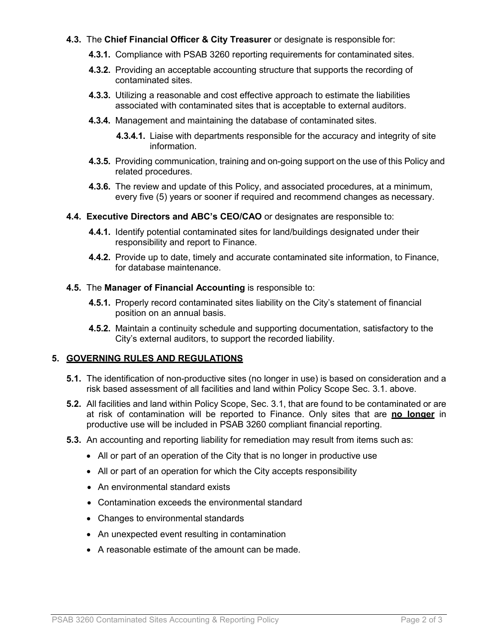### **4.3.** The **Chief Financial Officer & City Treasurer** or designate is responsible for:

- **4.3.1.** Compliance with PSAB 3260 reporting requirements for contaminated sites.
- **4.3.2.** Providing an acceptable accounting structure that supports the recording of contaminated sites.
- **4.3.3.** Utilizing a reasonable and cost effective approach to estimate the liabilities associated with contaminated sites that is acceptable to external auditors.
- **4.3.4.** Management and maintaining the database of contaminated sites.
	- **4.3.4.1.** Liaise with departments responsible for the accuracy and integrity of site information.
- **4.3.5.** Providing communication, training and on-going support on the use of this Policy and related procedures.
- **4.3.6.** The review and update of this Policy, and associated procedures, at a minimum, every five (5) years or sooner if required and recommend changes as necessary.
- **4.4. Executive Directors and ABC's CEO/CAO** or designates are responsible to:
	- **4.4.1.** Identify potential contaminated sites for land/buildings designated under their responsibility and report to Finance.
	- **4.4.2.** Provide up to date, timely and accurate contaminated site information, to Finance, for database maintenance.
- **4.5.** The **Manager of Financial Accounting** is responsible to:
	- **4.5.1.** Properly record contaminated sites liability on the City's statement of financial position on an annual basis.
	- **4.5.2.** Maintain a continuity schedule and supporting documentation, satisfactory to the City's external auditors, to support the recorded liability.

#### **5. GOVERNING RULES AND REGULATIONS**

- **5.1.** The identification of non-productive sites (no longer in use) is based on consideration and a risk based assessment of all facilities and land within Policy Scope Sec. 3.1. above.
- **5.2.** All facilities and land within Policy Scope, Sec. 3.1, that are found to be contaminated or are at risk of contamination will be reported to Finance. Only sites that are **no longer** in productive use will be included in PSAB 3260 compliant financial reporting.
- **5.3.** An accounting and reporting liability for remediation may result from items such as:
	- All or part of an operation of the City that is no longer in productive use
	- All or part of an operation for which the City accepts responsibility
	- An environmental standard exists
	- Contamination exceeds the environmental standard
	- Changes to environmental standards
	- An unexpected event resulting in contamination
	- A reasonable estimate of the amount can be made.